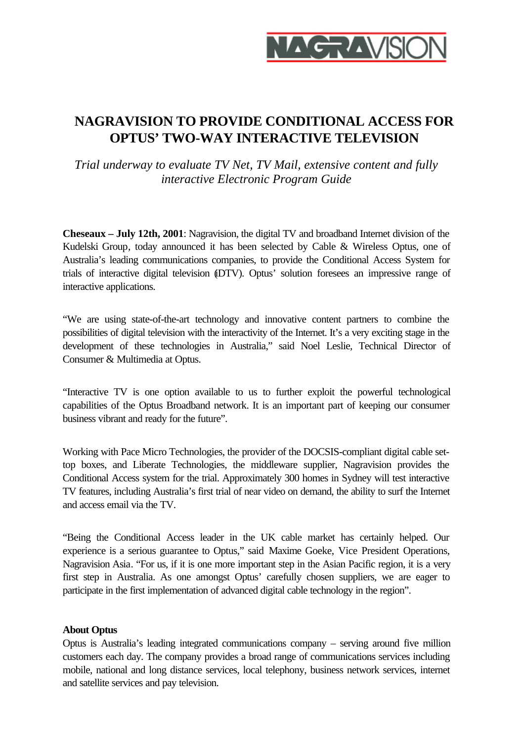

# **NAGRAVISION TO PROVIDE CONDITIONAL ACCESS FOR OPTUS' TWO-WAY INTERACTIVE TELEVISION**

*Trial underway to evaluate TV Net, TV Mail, extensive content and fully interactive Electronic Program Guide*

**Cheseaux – July 12th, 2001**: Nagravision, the digital TV and broadband Internet division of the Kudelski Group, today announced it has been selected by Cable & Wireless Optus, one of Australia's leading communications companies, to provide the Conditional Access System for trials of interactive digital television (DTV). Optus' solution foresees an impressive range of interactive applications.

"We are using state-of-the-art technology and innovative content partners to combine the possibilities of digital television with the interactivity of the Internet. It's a very exciting stage in the development of these technologies in Australia," said Noel Leslie, Technical Director of Consumer & Multimedia at Optus.

"Interactive TV is one option available to us to further exploit the powerful technological capabilities of the Optus Broadband network. It is an important part of keeping our consumer business vibrant and ready for the future".

Working with Pace Micro Technologies, the provider of the DOCSIS-compliant digital cable settop boxes, and Liberate Technologies, the middleware supplier, Nagravision provides the Conditional Access system for the trial. Approximately 300 homes in Sydney will test interactive TV features, including Australia's first trial of near video on demand, the ability to surf the Internet and access email via the TV.

"Being the Conditional Access leader in the UK cable market has certainly helped. Our experience is a serious guarantee to Optus," said Maxime Goeke, Vice President Operations, Nagravision Asia. "For us, if it is one more important step in the Asian Pacific region, it is a very first step in Australia. As one amongst Optus' carefully chosen suppliers, we are eager to participate in the first implementation of advanced digital cable technology in the region".

### **About Optus**

Optus is Australia's leading integrated communications company – serving around five million customers each day. The company provides a broad range of communications services including mobile, national and long distance services, local telephony, business network services, internet and satellite services and pay television.